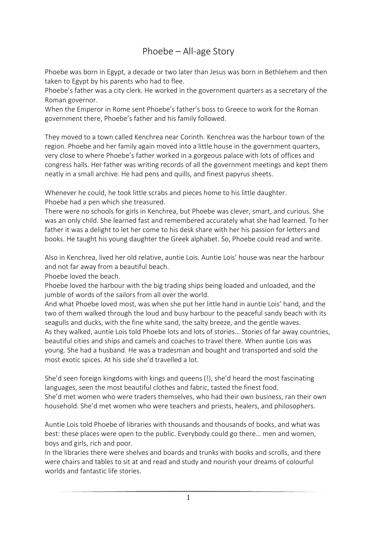## Phoebe – All-age Story

Phoebe was born in Egypt, a decade or two later than Jesus was born in Bethlehem and then taken to Egypt by his parents who had to flee.

Phoebe's father was a city clerk. He worked in the government quarters as a secretary of the Roman governor.

When the Emperor in Rome sent Phoebe's father's boss to Greece to work for the Roman government there, Phoebe's father and his family followed.

They moved to a town called Kenchrea near Corinth. Kenchrea was the harbour town of the region. Phoebe and her family again moved into a little house in the government quarters, very close to where Phoebe's father worked in a gorgeous palace with lots of offices and congress halls. Her father was writing records of all the government meetings and kept them neatly in a small archive. He had pens and quills, and finest papyrus sheets.

Whenever he could, he took little scrabs and pieces home to his little daughter.

Phoebe had a pen which she treasured.

There were no schools for girls in Kenchrea, but Phoebe was clever, smart, and curious. She was an only child. She learned fast and remembered accurately what she had learned. To her father it was a delight to let her come to his desk share with her his passion for letters and books. He taught his young daughter the Greek alphabet. So, Phoebe could read and write.

Also in Kenchrea, lived her old relative, auntie Lois. Auntie Lois' house was near the harbour and not far away from a beautiful beach.

Phoebe loved the beach.

Phoebe loved the harbour with the big trading ships being loaded and unloaded, and the jumble of words of the sailors from all over the world.

And what Phoebe loved most, was when she put her little hand in auntie Lois' hand, and the two of them walked through the loud and busy harbour to the peaceful sandy beach with its seagulls and ducks, with the fine white sand, the salty breeze, and the gentle waves. As they walked, auntie Lois told Phoebe lots and lots of stories… Stories of far away countries, beautiful cities and ships and camels and coaches to travel there. When auntie Lois was young. She had a husband. He was a tradesman and bought and transported and sold the most exotic spices. At his side she'd travelled a lot.

She'd seen foreign kingdoms with kings and queens (!), she'd heard the most fascinating languages, seen the most beautiful clothes and fabric, tasted the finest food. She'd met women who were traders themselves, who had their own business, ran their own household. She'd met women who were teachers and priests, healers, and philosophers.

Auntie Lois told Phoebe of libraries with thousands and thousands of books, and what was best: these places were open to the public. Everybody could go there… men and women, boys and girls, rich and poor.

In the libraries there were shelves and boards and trunks with books and scrolls, and there were chairs and tables to sit at and read and study and nourish your dreams of colourful worlds and fantastic life stories.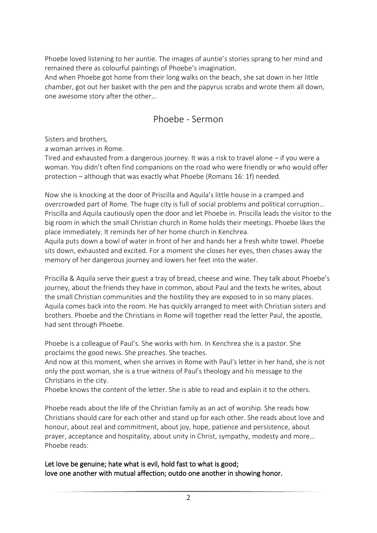Phoebe loved listening to her auntie. The images of auntie's stories sprang to her mind and remained there as colourful paintings of Phoebe's imagination.

And when Phoebe got home from their long walks on the beach, she sat down in her little chamber, got out her basket with the pen and the papyrus scrabs and wrote them all down, one awesome story after the other…

## Phoebe - Sermon

Sisters and brothers,

a woman arrives in Rome.

Tired and exhausted from a dangerous journey. It was a risk to travel alone – if you were a woman. You didn't often find companions on the road who were friendly or who would offer protection – although that was exactly what Phoebe (Romans 16: 1f) needed.

Now she is knocking at the door of Priscilla and Aquila's little house in a cramped and overcrowded part of Rome. The huge city is full of social problems and political corruption… Priscilla and Aquila cautiously open the door and let Phoebe in. Priscilla leads the visitor to the big room in which the small Christian church in Rome holds their meetings. Phoebe likes the place immediately. It reminds her of her home church in Kenchrea.

Aquila puts down a bowl of water in front of her and hands her a fresh white towel. Phoebe sits down, exhausted and excited. For a moment she closes her eyes, then chases away the memory of her dangerous journey and lowers her feet into the water.

Priscilla & Aquila serve their guest a tray of bread, cheese and wine. They talk about Phoebe's journey, about the friends they have in common, about Paul and the texts he writes, about the small Christian communities and the hostility they are exposed to in so many places. Aquila comes back into the room. He has quickly arranged to meet with Christian sisters and brothers. Phoebe and the Christians in Rome will together read the letter Paul, the apostle, had sent through Phoebe.

Phoebe is a colleague of Paul's. She works with him. In Kenchrea she is a pastor. She proclaims the good news. She preaches. She teaches.

And now at this moment, when she arrives in Rome with Paul's letter in her hand, she is not only the post woman, she is a true witness of Paul's theology and his message to the Christians in the city.

Phoebe knows the content of the letter. She is able to read and explain it to the others.

Phoebe reads about the life of the Christian family as an act of worship. She reads how Christians should care for each other and stand up for each other. She reads about love and honour, about zeal and commitment, about joy, hope, patience and persistence, about prayer, acceptance and hospitality, about unity in Christ, sympathy, modesty and more… Phoebe reads:

Let love be genuine; hate what is evil, hold fast to what is good; love one another with mutual affection; outdo one another in showing honor.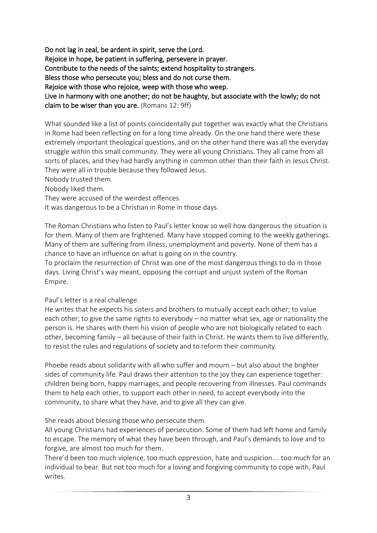Do not lag in zeal, be ardent in spirit, serve the Lord. Rejoice in hope, be patient in suffering, persevere in prayer. Contribute to the needs of the saints; extend hospitality to strangers. Bless those who persecute you; bless and do not curse them. Rejoice with those who rejoice, weep with those who weep. Live in harmony with one another; do not be haughty, but associate with the lowly; do not claim to be wiser than you are. (Romans 12: 9ff)

What sounded like a list of points coincidentally put together was exactly what the Christians in Rome had been reflecting on for a long time already. On the one hand there were these extremely important theological questions, and on the other hand there was all the everyday struggle within this small community. They were all young Christians. They all came from all sorts of places, and they had hardly anything in common other than their faith in Jesus Christ. They were all in trouble because they followed Jesus.

Nobody trusted them.

Nobody liked them.

They were accused of the weirdest offences.

It was dangerous to be a Christian in Rome in those days.

The Roman Christians who listen to Paul's letter know so well how dangerous the situation is for them. Many of them are frightened. Many have stopped coming to the weekly gatherings. Many of them are suffering from illness, unemployment and poverty. None of them has a chance to have an influence on what is going on in the country.

To proclaim the resurrection of Christ was one of the most dangerous things to do in those days. Living Christ's way meant, opposing the corrupt and unjust system of the Roman Empire.

## Paul's letter is a real challenge.

He writes that he expects his sisters and brothers to mutually accept each other; to value each other; to give the same rights to everybody – no matter what sex, age or nationality the person is. He shares with them his vision of people who are not biologically related to each other, becoming family – all because of their faith in Christ. He wants them to live differently, to resist the rules and regulations of society and to reform their community.

Phoebe reads about solidarity with all who suffer and mourn – but also about the brighter sides of community life. Paul draws their attention to the joy they can experience together: children being born, happy marriages, and people recovering from illnesses. Paul commands them to help each other, to support each other in need, to accept everybody into the community, to share what they have, and to give all they can give.

She reads about blessing those who persecute them.

All young Christians had experiences of persecution. Some of them had left home and family to escape. The memory of what they have been through, and Paul's demands to love and to forgive, are almost too much for them.

There'd been too much violence, too much oppression, hate and suspicion…. too much for an individual to bear. But not too much for a loving and forgiving community to cope with, Paul writes.